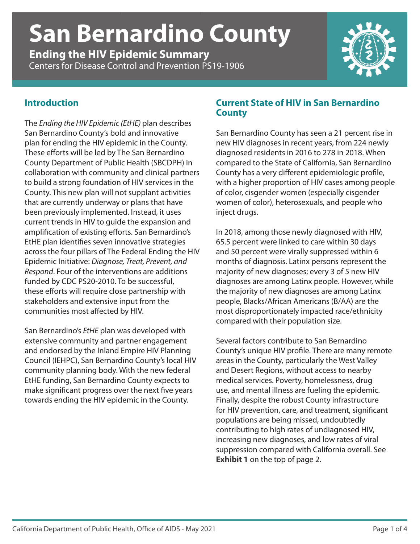# *Ending the HIV Epidemic Summary* | **San Bernardino County** | CDC PS19-1906 **San Bernardino County**

**Ending the HIV Epidemic Summary** Centers for Disease Control and Prevention PS19-1906



# **Introduction**

The *Ending the HIV Epidemic (EtHE)* plan describes San Bernardino County's bold and innovative plan for ending the HIV epidemic in the County. These efforts will be led by The San Bernardino County Department of Public Health (SBCDPH) in collaboration with community and clinical partners to build a strong foundation of HIV services in the County. This new plan will not supplant activities that are currently underway or plans that have been previously implemented. Instead, it uses current trends in HIV to guide the expansion and amplification of existing efforts. San Bernardino's EtHE plan identifies seven innovative strategies across the four pillars of The Federal Ending the HIV Epidemic Initiative: *Diagnose, Treat, Prevent, and Respond*. Four of the interventions are additions funded by CDC PS20-2010. To be successful, these efforts will require close partnership with stakeholders and extensive input from the communities most affected by HIV.

San Bernardino's *EtHE* plan was developed with extensive community and partner engagement and endorsed by the Inland Empire HIV Planning Council (IEHPC), San Bernardino County's local HIV community planning body. With the new federal EtHE funding, San Bernardino County expects to make significant progress over the next five years towards ending the HIV epidemic in the County.

#### **Current State of HIV in San Bernardino County**

San Bernardino County has seen a 21 percent rise in new HIV diagnoses in recent years, from 224 newly diagnosed residents in 2016 to 278 in 2018. When compared to the State of California, San Bernardino County has a very different epidemiologic profile, with a higher proportion of HIV cases among people of color, cisgender women (especially cisgender women of color), heterosexuals, and people who inject drugs.

In 2018, among those newly diagnosed with HIV, 65.5 percent were linked to care within 30 days and 50 percent were virally suppressed within 6 months of diagnosis. Latinx persons represent the majority of new diagnoses; every 3 of 5 new HIV diagnoses are among Latinx people. However, while the majority of new diagnoses are among Latinx people, Blacks/African Americans (B/AA) are the most disproportionately impacted race/ethnicity compared with their population size.

Several factors contribute to San Bernardino County's unique HIV profile. There are many remote areas in the County, particularly the West Valley and Desert Regions, without access to nearby medical services. Poverty, homelessness, drug use, and mental illness are fueling the epidemic. Finally, despite the robust County infrastructure for HIV prevention, care, and treatment, significant populations are being missed, undoubtedly contributing to high rates of undiagnosed HIV, increasing new diagnoses, and low rates of viral suppression compared with California overall. See **Exhibit 1** on the top of page 2.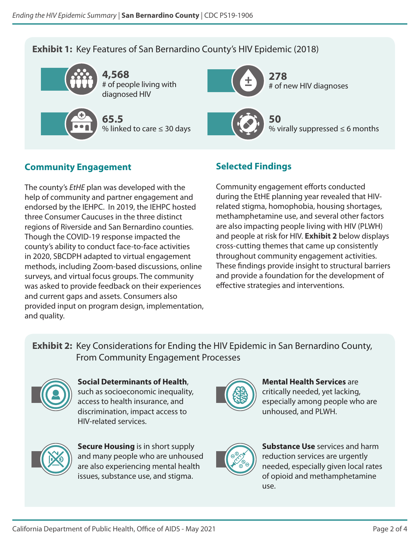# **Exhibit 1:** Key Features of San Bernardino County's HIV Epidemic (2018)



**4,568** # of people living with diagnosed HIV

**65.5** % linked to care ≤ 30 days



**278** # of new HIV diagnoses

**50** % virally suppressed ≤ 6 months

## **Community Engagement**

The county's *EtHE* plan was developed with the help of community and partner engagement and endorsed by the IEHPC. In 2019, the IEHPC hosted three Consumer Caucuses in the three distinct regions of Riverside and San Bernardino counties. Though the COVID-19 response impacted the county's ability to conduct face-to-face activities in 2020, SBCDPH adapted to virtual engagement methods, including Zoom-based discussions, online surveys, and virtual focus groups. The community was asked to provide feedback on their experiences and current gaps and assets. Consumers also provided input on program design, implementation, and quality.

## **Selected Findings**

Community engagement efforts conducted during the EtHE planning year revealed that HIVrelated stigma, homophobia, housing shortages, methamphetamine use, and several other factors are also impacting people living with HIV (PLWH) and people at risk for HIV. **Exhibit 2** below displays cross-cutting themes that came up consistently throughout community engagement activities. These findings provide insight to structural barriers and provide a foundation for the development of effective strategies and interventions.

**Exhibit 2:** Key Considerations for Ending the HIV Epidemic in San Bernardino County, From Community Engagement Processes



**Social Determinants of Health**, such as socioeconomic inequality, access to health insurance, and discrimination, impact access to HIV-related services.



**Secure Housing** is in short supply and many people who are unhoused are also experiencing mental health issues, substance use, and stigma.



**Mental Health Services** are critically needed, yet lacking, especially among people who are unhoused, and PLWH.



**Substance Use** services and harm reduction services are urgently needed, especially given local rates of opioid and methamphetamine use.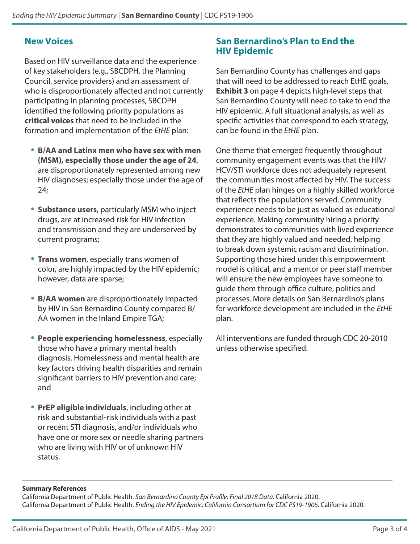#### **New Voices**

Based on HIV surveillance data and the experience of key stakeholders (e.g., SBCDPH, the Planning Council, service providers) and an assessment of who is disproportionately affected and not currently participating in planning processes, SBCDPH identified the following priority populations as **critical voices** that need to be included in the formation and implementation of the *EtHE* plan:

- **B/AA and Latinx men who have sex with men (MSM), especially those under the age of 24**, are disproportionately represented among new HIV diagnoses; especially those under the age of 24;
- **Substance users**, particularly MSM who inject drugs, are at increased risk for HIV infection and transmission and they are underserved by current programs;
- **Trans women**, especially trans women of color, are highly impacted by the HIV epidemic; however, data are sparse;
- **B/AA women** are disproportionately impacted by HIV in San Bernardino County compared B/ AA women in the Inland Empire TGA;
- **People experiencing homelessness**, especially those who have a primary mental health diagnosis. Homelessness and mental health are key factors driving health disparities and remain significant barriers to HIV prevention and care; and
- **PrEP eligible individuals**, including other atrisk and substantial-risk individuals with a past or recent STI diagnosis, and/or individuals who have one or more sex or needle sharing partners who are living with HIV or of unknown HIV status.

#### **San Bernardino's Plan to End the HIV Epidemic**

San Bernardino County has challenges and gaps that will need to be addressed to reach EtHE goals. **Exhibit 3** on page 4 depicts high-level steps that San Bernardino County will need to take to end the HIV epidemic. A full situational analysis, as well as specific activities that correspond to each strategy, can be found in the *EtHE* plan.

One theme that emerged frequently throughout community engagement events was that the HIV/ HCV/STI workforce does not adequately represent the communities most affected by HIV. The success of the *EtHE* plan hinges on a highly skilled workforce that reflects the populations served. Community experience needs to be just as valued as educational experience. Making community hiring a priority demonstrates to communities with lived experience that they are highly valued and needed, helping to break down systemic racism and discrimination. Supporting those hired under this empowerment model is critical, and a mentor or peer staff member will ensure the new employees have someone to guide them through office culture, politics and processes. More details on San Bernardino's plans for workforce development are included in the *EtHE* plan.

All interventions are funded through CDC 20-2010 unless otherwise specified.

#### **Summary References**

California Department of Public Health. *San Bernardino County Epi Profile: Final 2018 Data*. California 2020. California Department of Public Health. *Ending the HIV Epidemic: California Consortium for CDC PS19-1906*. California 2020.